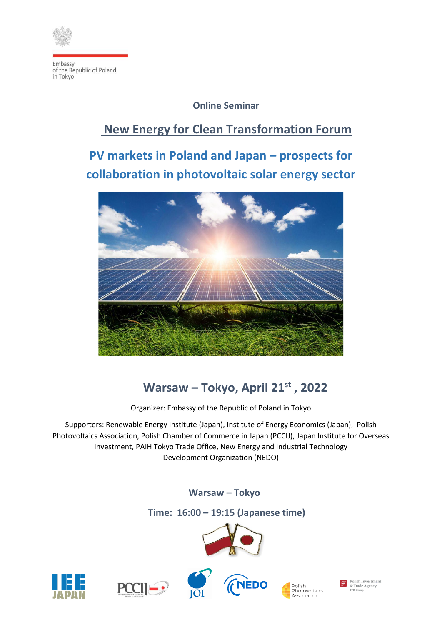

# **Online Seminar**

# **New Energy for Clean Transformation Forum**

**PV markets in Poland and Japan – prospects for collaboration in photovoltaic solar energy sector**



# **Warsaw – Tokyo, April 21st , 2022**

Organizer: Embassy of the Republic of Poland in Tokyo

Supporters: Renewable Energy Institute (Japan), Institute of Energy Economics (Japan), Polish Photovoltaics Association, Polish Chamber of Commerce in Japan (PCCIJ), Japan Institute for Overseas Investment, PAIH Tokyo Trade Office**,** New Energy and Industrial Technology Development Organization (NEDO)

# **Warsaw – Tokyo**

# **Time: 16:00 – 19:15 (Japanese time)**











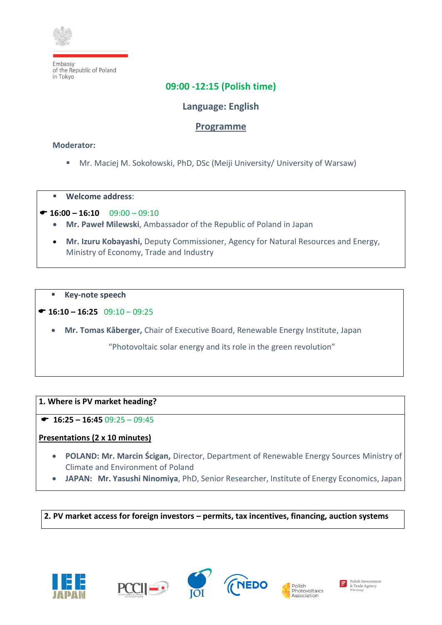

# **09:00 -12:15 (Polish time)**

# **Language: English**

## **Programme**

### **Moderator:**

- Mr. Maciej M. Sokołowski, PhD, DSc (Meiji University/ University of Warsaw)
- **Welcome address**:
- $\bullet$  **16:00 16:10** 09:00 09:10
	- **Mr. Paweł Milewski**, Ambassador of the Republic of Poland in Japan
	- **Mr. Izuru Kobayashi,** Deputy Commissioner, Agency for Natural Resources and Energy, Ministry of Economy, Trade and Industry
	- **Key-note speech**
- **16:10 – 16:25** 09:10 09:25
	- **Mr. Tomas Kåberger,** Chair of Executive Board, Renewable Energy Institute, Japan

"Photovoltaic solar energy and its role in the green revolution"

#### **1. Where is PV market heading?**

 $\bullet$  **16:25 – 16:45** 09:25 – 09:45

## **Presentations (2 x 10 minutes)**

- **POLAND: Mr. Marcin Ścigan,** Director, Department of Renewable Energy Sources Ministry of Climate and Environment of Poland
- **JAPAN: Mr. Yasushi Ninomiya**, PhD, Senior Researcher, Institute of Energy Economics, Japan

**2. PV market access for foreign investors – permits, tax incentives, financing, auction systems** 









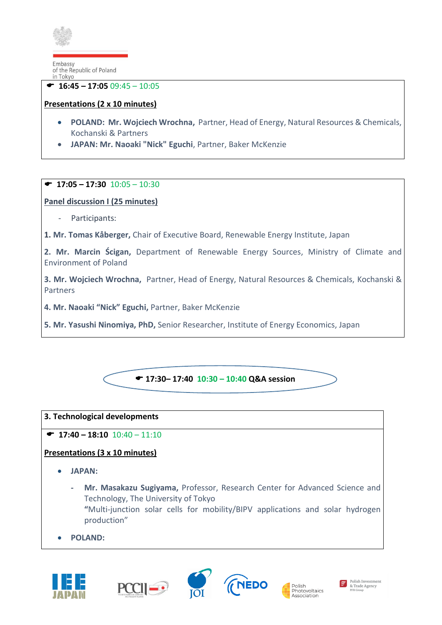

l  **16:45 – 17:05** 09:45 – 10:05

## **Presentations (2 x 10 minutes)**

- **POLAND: Mr. Wojciech Wrochna,** Partner, Head of Energy, Natural Resources & Chemicals, [Kochanski & Partners](https://www.legal500.com/firms/15556-kochanski-partners/16101-warsaw-poland/)
- **JAPAN: Mr. Naoaki "Nick" Eguchi**, Partner, Baker McKenzie

### $\bullet$  **17:05 – 17:30** 10:05 – 10:30

### **Panel discussion I (25 minutes)**

Participants:

**1. Mr. Tomas Kåberger,** Chair of Executive Board, Renewable Energy Institute, Japan

**2. Mr. Marcin Ścigan,** Department of Renewable Energy Sources, Ministry of Climate and Environment of Poland

**3. Mr. Wojciech Wrochna,** Partner, Head of Energy, Natural Resources & Chemicals, [Kochanski &](https://www.legal500.com/firms/15556-kochanski-partners/16101-warsaw-poland/)  [Partners](https://www.legal500.com/firms/15556-kochanski-partners/16101-warsaw-poland/)

**4. Mr. Naoaki "Nick" Eguchi,** Partner, Baker McKenzie

**5. Mr. Yasushi Ninomiya, PhD,** Senior Researcher, Institute of Energy Economics, Japan



#### **3. Technological developments**

## $\bullet$  **17:40** – **18:10** 10:40 – 11:10

## **Presentations (3 x 10 minutes)**

- **JAPAN:** 
	- **- Mr. Masakazu Sugiyama,** Professor, Research Center for Advanced Science and Technology, The University of Tokyo **"**Multi-junction solar cells for mobility/BIPV applications and solar hydrogen production"
- **POLAND:**









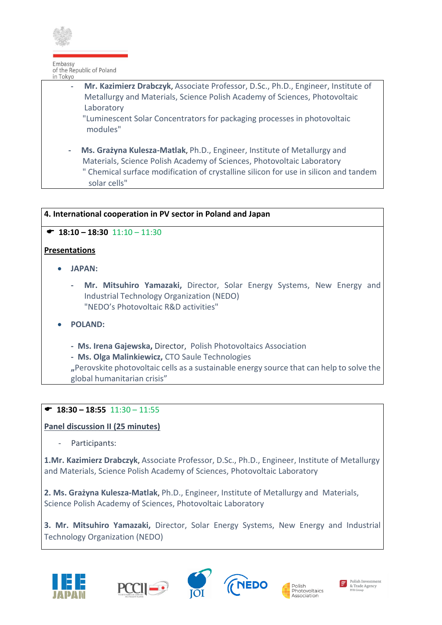

l **- Mr. Kazimierz Drabczyk**, Associate Professor, D.Sc., Ph.D., Engineer, Institute of Metallurgy and Materials, Science Polish Academy of Sciences, Photovoltaic Laboratory

 "Luminescent Solar Concentrators for packaging processes in photovoltaic modules"

 **- Ms. Grażyna Kulesza-Matlak**, Ph.D., Engineer, Institute of Metallurgy and Materials, Science Polish Academy of Sciences, Photovoltaic Laboratory " Chemical surface modification of crystalline silicon for use in silicon and tandem solar cells"

### **4. International cooperation in PV sector in Poland and Japan**

### $\bullet$  **18:10 – 18:30** 11:10 – 11:30

### **Presentations**

- **JAPAN:** 
	- **- Mr. Mitsuhiro Yamazaki,** Director, Solar Energy Systems, New Energy and Industrial Technology Organization (NEDO) "NEDO's Photovoltaic R&D activities"
- **POLAND:** 
	- **- Ms. Irena Gajewska,** Director, Polish Photovoltaics Association
	- **Ms. Olga Malinkiewicz,** CTO Saule Technologies

**"**Perovskite photovoltaic cells as a sustainable energy source that can help to solve the global humanitarian crisis"

## $\bullet$  **18:30 – 18:55** 11:30 – 11:55

**Panel discussion II (25 minutes)** 

Participants:

**1.Mr. Kazimierz Drabczyk**, Associate Professor, D.Sc., Ph.D., Engineer, Institute of Metallurgy and Materials, Science Polish Academy of Sciences, Photovoltaic Laboratory

**2. Ms. Grażyna Kulesza-Matlak**, Ph.D., Engineer, Institute of Metallurgy and Materials, Science Polish Academy of Sciences, Photovoltaic Laboratory

**3. Mr. Mitsuhiro Yamazaki,** Director, Solar Energy Systems, New Energy and Industrial Technology Organization (NEDO)